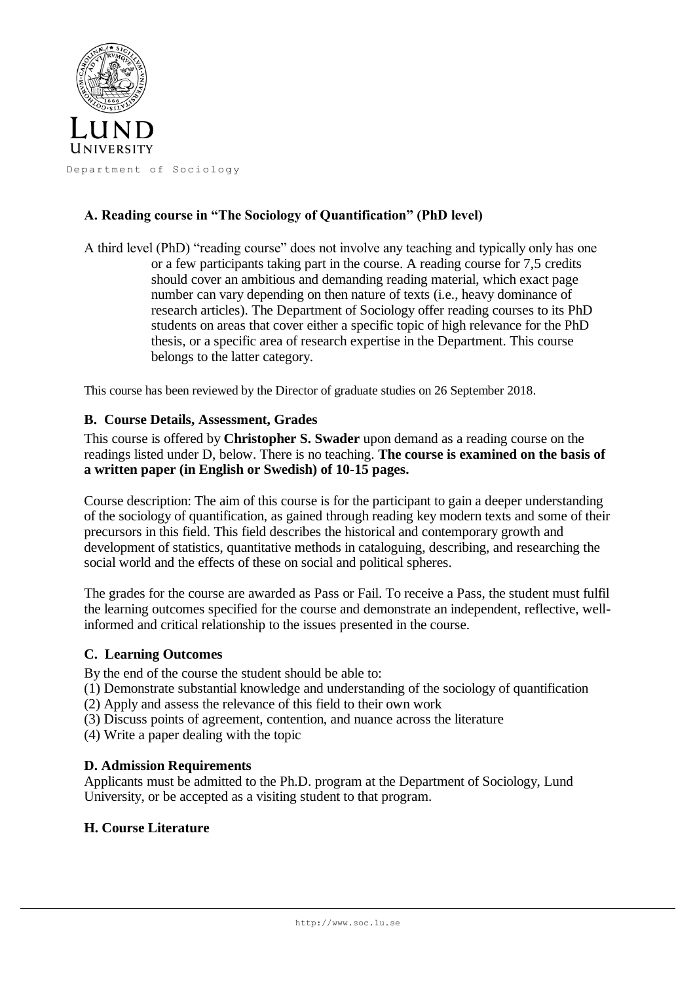

# **A. Reading course in "The Sociology of Quantification" (PhD level)**

A third level (PhD) "reading course" does not involve any teaching and typically only has one or a few participants taking part in the course. A reading course for 7,5 credits should cover an ambitious and demanding reading material, which exact page number can vary depending on then nature of texts (i.e., heavy dominance of research articles). The Department of Sociology offer reading courses to its PhD students on areas that cover either a specific topic of high relevance for the PhD thesis, or a specific area of research expertise in the Department. This course belongs to the latter category.

This course has been reviewed by the Director of graduate studies on 26 September 2018.

### **B. Course Details, Assessment, Grades**

This course is offered by **Christopher S. Swader** upon demand as a reading course on the readings listed under D, below. There is no teaching. **The course is examined on the basis of a written paper (in English or Swedish) of 10-15 pages.** 

Course description: The aim of this course is for the participant to gain a deeper understanding of the sociology of quantification, as gained through reading key modern texts and some of their precursors in this field. This field describes the historical and contemporary growth and development of statistics, quantitative methods in cataloguing, describing, and researching the social world and the effects of these on social and political spheres.

The grades for the course are awarded as Pass or Fail. To receive a Pass, the student must fulfil the learning outcomes specified for the course and demonstrate an independent, reflective, wellinformed and critical relationship to the issues presented in the course.

### **C. Learning Outcomes**

By the end of the course the student should be able to:

- (1) Demonstrate substantial knowledge and understanding of the sociology of quantification
- (2) Apply and assess the relevance of this field to their own work
- (3) Discuss points of agreement, contention, and nuance across the literature

(4) Write a paper dealing with the topic

### **D. Admission Requirements**

Applicants must be admitted to the Ph.D. program at the Department of Sociology, Lund University, or be accepted as a visiting student to that program.

### **H. Course Literature**